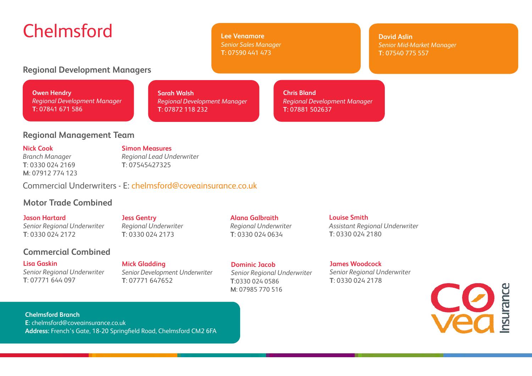# Chelmsford

**Lee Venamore** *Senior Sales Manager* **T:** 07590 441 473

**David Aslin** *Senior Mid-Market Manager* **T:** 07540 775 557

## **Regional Development Managers**

**Owen Hendry** *Regional Development Manager* **T:** 07841 671 586

**Sarah Walsh**  *Regional Development Manager* **T**: 07872 118 232

**Chris Bland** *Regional Development Manager* **T:** 07881 502637

### **Regional Management Team**

#### **Nick Cook**

*Branch Manager* **T**: 0330 024 2169 **M**: 07912 774 123

**Simon Measures** *Regional Lead Underwriter* **T**: 07545427325

Commercial Underwriters - E: chelmsford@coveainsurance.co.uk

# **Motor Trade Combined**

**Jason Hartard** *Senior Regional Underwriter* **T**: 0330 024 2172

# **Commercial Combined**

#### **Lisa Gaskin**

*Senior Regional Underwriter* **T**: 07771 644 097

**Jess Gentry** *Regional Underwriter*  **T**: 0330 024 2173

**T**: 07771 647652

# **Alana Galbraith**

*Regional Underwriter* **T**: 0330 024 0634

**Louise Smith** *Assistant Regional Underwriter* **T**: 0330 024 2180

#### **James Woodcock**

*Senior Regional Underwriter* **T**: 0330 024 2178



**Chelmsford Branch E**: chelmsford@coveainsurance.co.uk **Address:** French's Gate, 18-20 Springfield Road, Chelmsford CM2 6FA

#### **Mick Gladding**  *Senior Development Underwriter*

*Senior Regional Underwriter* **T**:0330 024 0586 **M**: 07985 770 516

**Dominic Jacob**